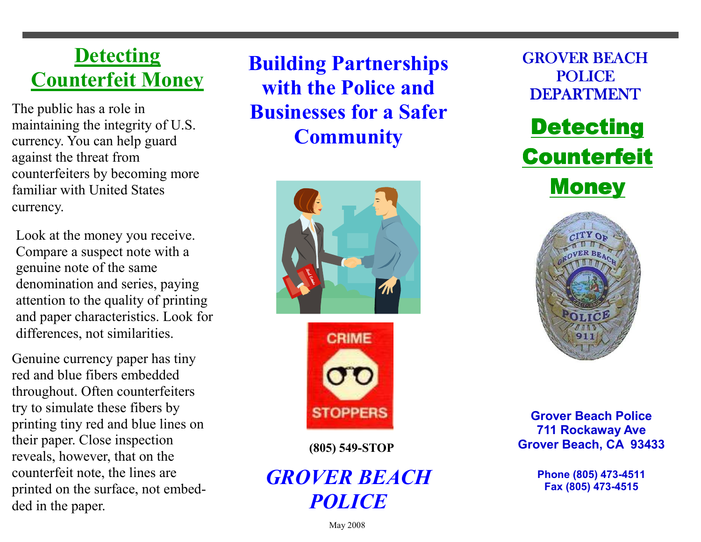## **Detecting** Counterfeit Money

The public has a role in maintaining the integrity of U.S. currency. You can help guard against the threat from counterfeiters by becoming more familiar with United States currency.

Look at the money you receive. Compare a suspect note with a genuine note of the same denomination and series, paying attention to the quality of printing and paper characteristics. Look for differences, not similarities.

Genuine currency paper has tiny red and blue fibers embedded throughout. Often counterfeiters try to simulate these fibers by printing tiny red and blue lines on their paper. Close inspection reveals, however, that on the counterfeit note, the lines are printed on the surface, not embedded in the paper.

Building Partnerships with the Police and Businesses for a Safer **Community** 





(805) 549-STOP

## GROVER BEACH POLICE







Grover Beach Police 711 Rockaway Ave Grover Beach, CA 93433

> Phone (805) 473-4511 Fax (805) 473-4515

May 2008